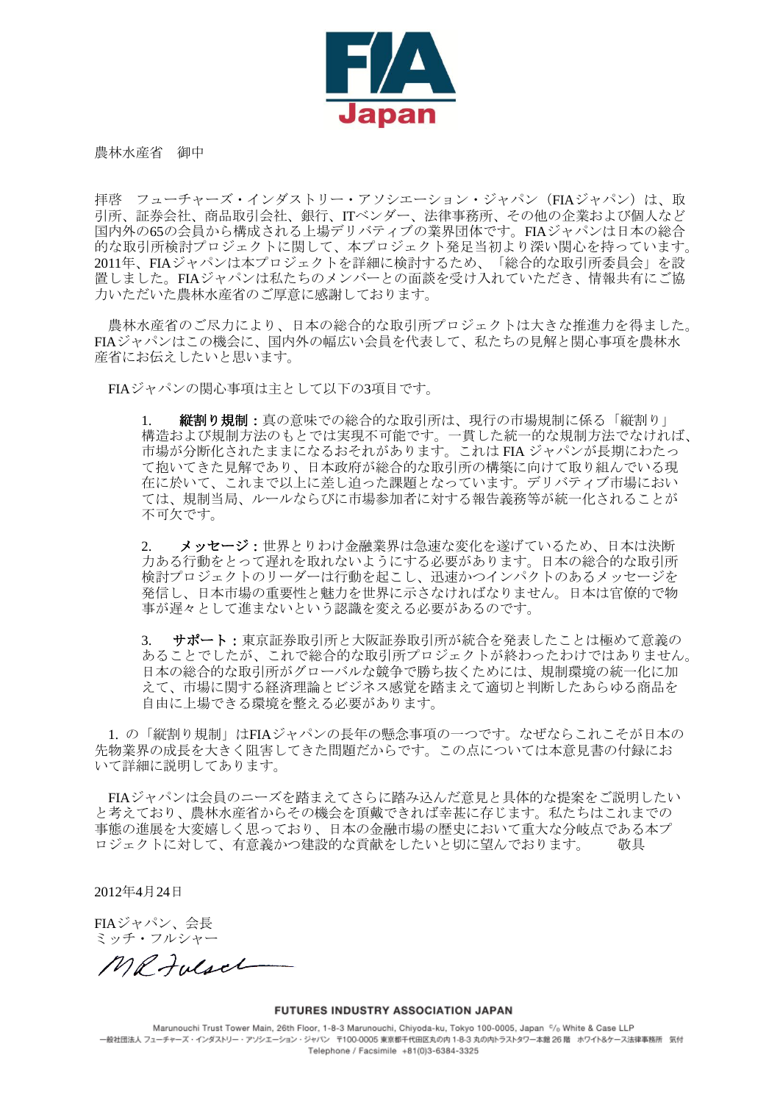

農林水産省 御中

拝啓 フューチャーズ・インダストリー・アソシエーション・ジャパン (FIAジャパン)は、取 引所、証券会社、商品取引会社、銀行、ITベンダー、法律事務所、その他の企業および個人など 国内外の65の会員から構成される上場デリバティブの業界団体です。FIAジャパンは日本の総合 的な取引所検討プロジェクトに関して、本プロジェクト発足当初より深い関心を持っています。 2011年、FIAジャパンは本プロジェクトを詳細に検討するため、「総合的な取引所委員会」を設 置しました。FIAジャパンは私たちのメンバーとの面談を受け入れていただき、情報共有にご協 力いただいた農林水産省のご厚意に感謝しております。

農林水産省のご尽力により、日本の総合的な取引所プロジェクトは大きな推進力を得ました。 FIAジャパンはこの機会に、国内外の幅広い会員を代表して、私たちの見解と関心事項を農林水 産省にお伝えしたいと思います。

FIAジャパンの関心事項は主として以下の3項目です。

1. 縦割り規制:真の意味での総合的な取引所は、現行の市場規制に係る「縦割り」 構造および規制方法のもとでは実現不可能です。一貫した統一的な規制方法でなければ、 市場が分断化されたままになるおそれがあります。これは FIA ジャパンが長期にわたっ て抱いてきた見解であり、日本政府が総合的な取引所の構築に向けて取り組んでいる現 在に於いて、これまで以上に差し迫った課題となっています。デリバティブ市場におい ては、規制当局、ルールならびに市場参加者に対する報告義務等が統一化されることが 不可欠です。

2. メッセージ:世界とりわけ金融業界は急速な変化を遂げているため、日本は決断 力ある行動をとって遅れを取れないようにする必要があります。日本の総合的な取引所 検討プロジェクトのリーダーは行動を起こし、迅速かつインパクトのあるメッセージを 発信し、日本市場の重要性と魅力を世界に示さなければなりません。日本は官僚的で物 事が遅々として進まないという認識を変える必要があるのです。

3. サポート:東京証券取引所と大阪証券取引所が統合を発表したことは極めて意義の あることでしたが、これで総合的な取引所プロジェクトが終わったわけではありません。 日本の総合的な取引所がグローバルな競争で勝ち抜くためには、規制環境の統一化に加 えて、市場に関する経済理論とビジネス感覚を踏まえて適切と判断したあらゆる商品を 自由に上場できる環境を整える必要があります。

1. の「縦割り規制」はFIAジャパンの長年の懸念事項の一つです。なぜならこれこそが日本の 先物業界の成長を大きく阻害してきた問題だからです。この点については本意見書の付録にお いて詳細に説明してあります。

FIAジャパンは会員のニーズを踏まえてさらに踏み込んだ意見と具体的な提案をご説明したい と考えており、農林水産省からその機会を頂戴できれば幸甚に存じます。私たちはこれまでの 事態の進展を大変嬉しく思っており、日本の金融市場の歴史において重大な分岐点である本プ ロジェクトに対して、有意義かつ建設的な貢献をしたいと切に望んでおります。 敬具

2012年4月24日

FIAジャパン、会長 ミッチ・フルシャー

MP Fulsel

#### FUTURES INDUSTRY ASSOCIATION JAPAN

Marunouchi Trust Tower Main, 26th Floor, 1-8-3 Marunouchi, Chiyoda-ku, Tokyo 100-0005, Japan % White & Case LLP 一般社団法人 フューチャーズ・インダストリー・アソシエーション・ジャパン 〒100-0005 東京都千代田区丸の内 1-8-3 丸の内トラストタワー本館 26 階 ホワイト&ケース法律事務所 気付 Telephone / Facsimile +81(0)3-6384-3325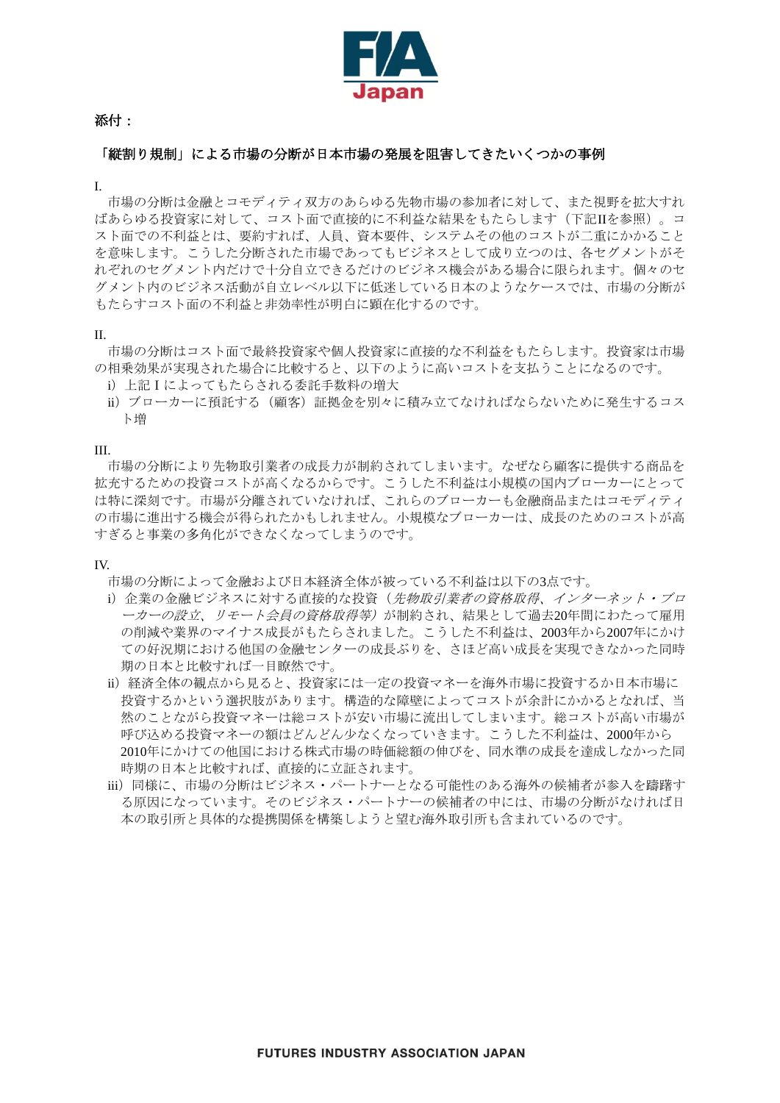

# 添付:

# 「縦割り規制」による市場の分断が日本市場の発展を阻害してきたいくつかの事例

I.

市場の分断は金融とコモディティ双方のあらゆる先物市場の参加者に対して、また視野を拡大すれ ばあらゆる投資家に対して、コスト面で直接的に不利益な結果をもたらします(下記IIを参照)。コ スト面での不利益とは、要約すれば、人員、資本要件、システムその他のコストが二重にかかること を意味します。こうした分断された市場であってもビジネスとして成り立つのは、各セグメントがそ れぞれのセグメント内だけで十分自立できるだけのビジネス機会がある場合に限られます。個々のセ グメント内のビジネス活動が自立レベル以下に低迷している日本のようなケースでは、市場の分断が もたらすコスト面の不利益と非効率性が明白に顕在化するのです。

II.

市場の分断はコスト面で最終投資家や個人投資家に直接的な不利益をもたらします。投資家は市場 の相乗効果が実現された場合に比較すると、以下のように高いコストを支払うことになるのです。

- i)上記Ⅰによってもたらされる委託手数料の増大
- ii) ブローカーに預託する(顧客)証拠金を別々に積み立てなければならないために発生するコス ト増

III.

市場の分断により先物取引業者の成長力が制約されてしまいます。なぜなら顧客に提供する商品を 拡充するための投資コストが高くなるからです。こうした不利益は小規模の国内ブローカーにとって は特に深刻です。市場が分離されていなければ、これらのブローカーも金融商品またはコモディティ の市場に進出する機会が得られたかもしれません。小規模なブローカーは、成長のためのコストが高 すぎると事業の多角化ができなくなってしまうのです。

IV.

市場の分断によって金融および日本経済全体が被っている不利益は以下の3点です。

- i)企業の金融ビジネスに対する直接的な投資(*先物取引業者の資格取得、インターネット・ブロ*  ーカーの設立、リモート会員の資格取得等)が制約され、結果として過去20年間にわたって雇用 の削減や業界のマイナス成長がもたらされました。こうした不利益は、2003年から2007年にかけ ての好況期における他国の金融センターの成長ぶりを、さほど高い成長を実現できなかった同時 期の日本と比較すれば一目瞭然です。
- ii)経済全体の観点から見ると、投資家には一定の投資マネーを海外市場に投資するか日本市場に 投資するかという選択肢があります。構造的な障壁によってコストが余計にかかるとなれば、当 然のことながら投資マネーは総コストが安い市場に流出してしまいます。総コストが高い市場が 呼び込める投資マネーの額はどんどん少なくなっていきます。こうした不利益は、2000年から 2010年にかけての他国における株式市場の時価総額の伸びを、同水準の成長を達成しなかった同 時期の日本と比較すれば、直接的に立証されます。
- iii)同様に、市場の分断はビジネス・パートナーとなる可能性のある海外の候補者が参入を躊躇す る原因になっています。そのビジネス・パートナーの候補者の中には、市場の分断がなければ日 本の取引所と具体的な提携関係を構築しようと望む海外取引所も含まれているのです。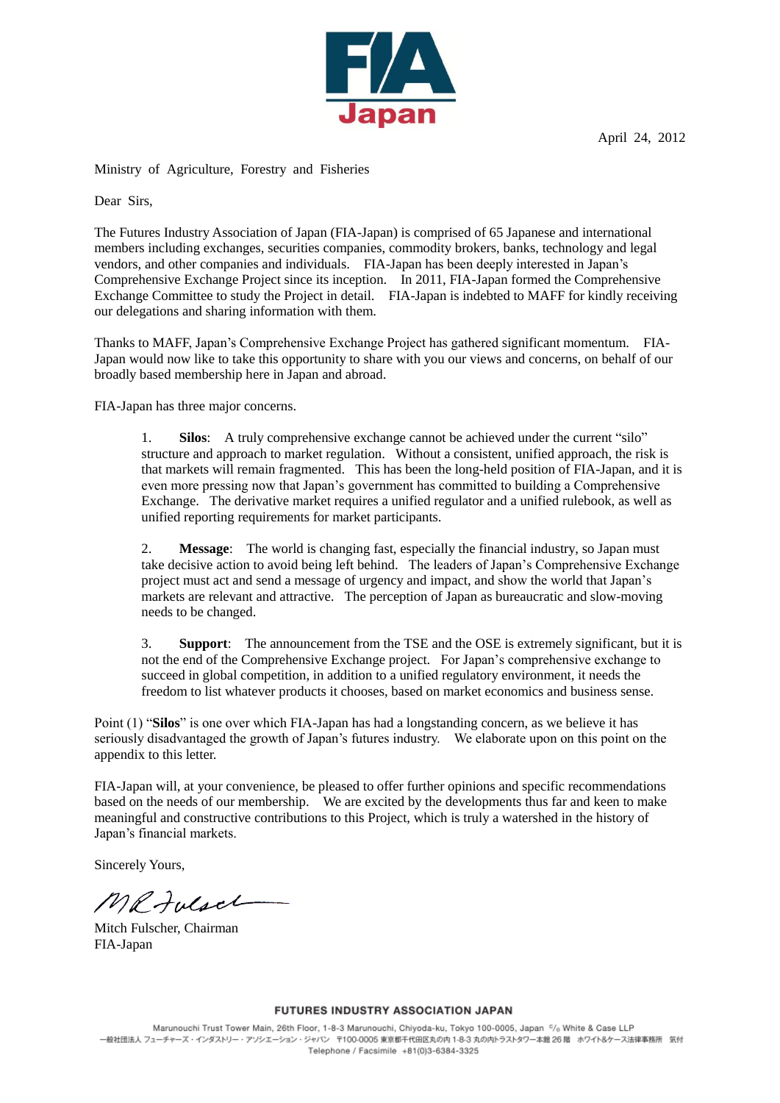

April 24, 2012

Ministry of Agriculture, Forestry and Fisheries

Dear Sirs,

The Futures Industry Association of Japan (FIA-Japan) is comprised of 65 Japanese and international members including exchanges, securities companies, commodity brokers, banks, technology and legal vendors, and other companies and individuals. FIA-Japan has been deeply interested in Japan's Comprehensive Exchange Project since its inception. In 2011, FIA-Japan formed the Comprehensive Exchange Committee to study the Project in detail. FIA-Japan is indebted to MAFF for kindly receiving our delegations and sharing information with them.

Thanks to MAFF, Japan's Comprehensive Exchange Project has gathered significant momentum. FIA-Japan would now like to take this opportunity to share with you our views and concerns, on behalf of our broadly based membership here in Japan and abroad.

FIA-Japan has three major concerns.

1. **Silos**: A truly comprehensive exchange cannot be achieved under the current "silo" structure and approach to market regulation. Without a consistent, unified approach, the risk is that markets will remain fragmented. This has been the long-held position of FIA-Japan, and it is even more pressing now that Japan's government has committed to building a Comprehensive Exchange. The derivative market requires a unified regulator and a unified rulebook, as well as unified reporting requirements for market participants.

2. **Message**: The world is changing fast, especially the financial industry, so Japan must take decisive action to avoid being left behind. The leaders of Japan's Comprehensive Exchange project must act and send a message of urgency and impact, and show the world that Japan's markets are relevant and attractive. The perception of Japan as bureaucratic and slow-moving needs to be changed.

3. **Support**: The announcement from the TSE and the OSE is extremely significant, but it is not the end of the Comprehensive Exchange project. For Japan's comprehensive exchange to succeed in global competition, in addition to a unified regulatory environment, it needs the freedom to list whatever products it chooses, based on market economics and business sense.

Point (1) "**Silos**" is one over which FIA-Japan has had a longstanding concern, as we believe it has seriously disadvantaged the growth of Japan's futures industry. We elaborate upon on this point on the appendix to this letter.

FIA-Japan will, at your convenience, be pleased to offer further opinions and specific recommendations based on the needs of our membership. We are excited by the developments thus far and keen to make meaningful and constructive contributions to this Project, which is truly a watershed in the history of Japan's financial markets.

Sincerely Yours,

MR Fulsel

Mitch Fulscher, Chairman FIA-Japan

# FUTURES INDUSTRY ASSOCIATION JAPAN